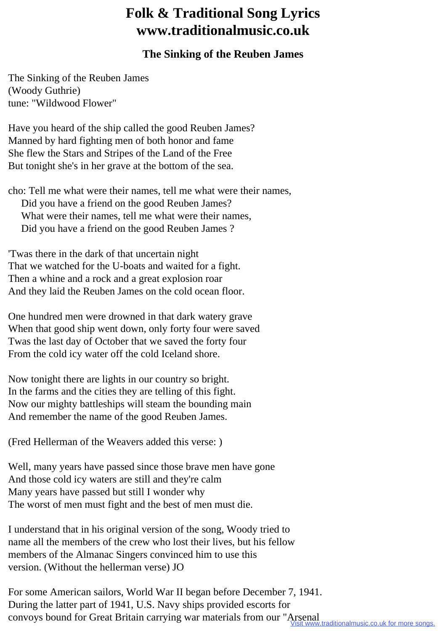## **Folk & Traditional Song Lyrics www.traditionalmusic.co.uk**

## **The Sinking of the Reuben James**

The Sinking of the Reuben James (Woody Guthrie) tune: "Wildwood Flower"

Have you heard of the ship called the good Reuben James? Manned by hard fighting men of both honor and fame She flew the Stars and Stripes of the Land of the Free But tonight she's in her grave at the bottom of the sea.

cho: Tell me what were their names, tell me what were their names, Did you have a friend on the good Reuben James? What were their names, tell me what were their names, Did you have a friend on the good Reuben James ?

'Twas there in the dark of that uncertain night That we watched for the U-boats and waited for a fight. Then a whine and a rock and a great explosion roar And they laid the Reuben James on the cold ocean floor.

One hundred men were drowned in that dark watery grave When that good ship went down, only forty four were saved Twas the last day of October that we saved the forty four From the cold icy water off the cold Iceland shore.

Now tonight there are lights in our country so bright. In the farms and the cities they are telling of this fight. Now our mighty battleships will steam the bounding main And remember the name of the good Reuben James.

(Fred Hellerman of the Weavers added this verse: )

Well, many years have passed since those brave men have gone And those cold icy waters are still and they're calm Many years have passed but still I wonder why The worst of men must fight and the best of men must die.

I understand that in his original version of the song, Woody tried to name all the members of the crew who lost their lives, but his fellow members of the Almanac Singers convinced him to use this version. (Without the hellerman verse) JO

For some American sailors, World War II began before December 7, 1941. During the latter part of 1941, U.S. Navy ships provided escorts for convoys bound for Great Britain carrying war materials from our "Arsenal